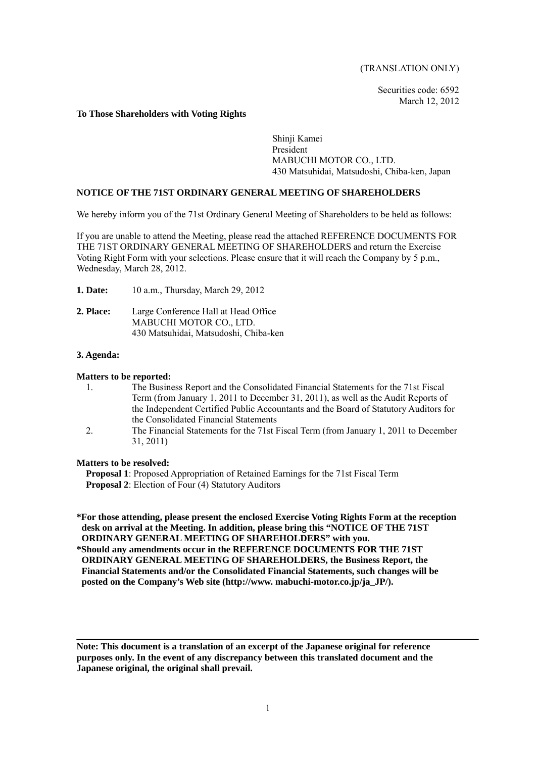(TRANSLATION ONLY)

Securities code: 6592 March 12, 2012

#### **To Those Shareholders with Voting Rights**

Shinji Kamei President MABUCHI MOTOR CO., LTD. 430 Matsuhidai, Matsudoshi, Chiba-ken, Japan

### **NOTICE OF THE 71ST ORDINARY GENERAL MEETING OF SHAREHOLDERS**

We hereby inform you of the 71st Ordinary General Meeting of Shareholders to be held as follows:

If you are unable to attend the Meeting, please read the attached REFERENCE DOCUMENTS FOR THE 71ST ORDINARY GENERAL MEETING OF SHAREHOLDERS and return the Exercise Voting Right Form with your selections. Please ensure that it will reach the Company by 5 p.m., Wednesday, March 28, 2012.

- **1. Date:** 10 a.m., Thursday, March 29, 2012
- **2. Place:** Large Conference Hall at Head Office MABUCHI MOTOR CO., LTD. 430 Matsuhidai, Matsudoshi, Chiba-ken

#### **3. Agenda:**

#### **Matters to be reported:**

- 1. The Business Report and the Consolidated Financial Statements for the 71st Fiscal Term (from January 1, 2011 to December 31, 2011), as well as the Audit Reports of the Independent Certified Public Accountants and the Board of Statutory Auditors for the Consolidated Financial Statements
- 2. The Financial Statements for the 71st Fiscal Term (from January 1, 2011 to December 31, 2011)

#### **Matters to be resolved:**

**Proposal 1**: Proposed Appropriation of Retained Earnings for the 71st Fiscal Term **Proposal 2**: Election of Four (4) Statutory Auditors

**\*For those attending, please present the enclosed Exercise Voting Rights Form at the reception desk on arrival at the Meeting. In addition, please bring this "NOTICE OF THE 71ST ORDINARY GENERAL MEETING OF SHAREHOLDERS" with you.** 

**\*Should any amendments occur in the REFERENCE DOCUMENTS FOR THE 71ST ORDINARY GENERAL MEETING OF SHAREHOLDERS, the Business Report, the Financial Statements and/or the Consolidated Financial Statements, such changes will be posted on the Company's Web site (http://www. mabuchi-motor.co.jp/ja\_JP/).** 

**Note: This document is a translation of an excerpt of the Japanese original for reference purposes only. In the event of any discrepancy between this translated document and the Japanese original, the original shall prevail.**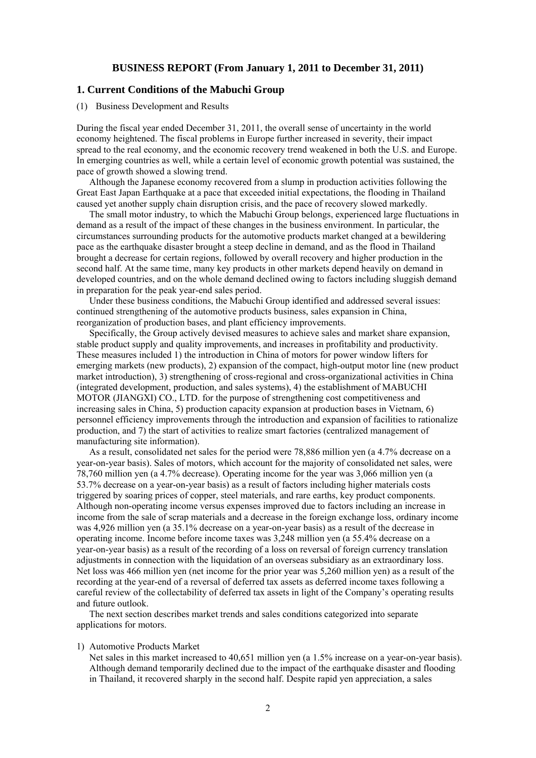### **BUSINESS REPORT (From January 1, 2011 to December 31, 2011)**

### **1. Current Conditions of the Mabuchi Group**

### (1) Business Development and Results

During the fiscal year ended December 31, 2011, the overall sense of uncertainty in the world economy heightened. The fiscal problems in Europe further increased in severity, their impact spread to the real economy, and the economic recovery trend weakened in both the U.S. and Europe. In emerging countries as well, while a certain level of economic growth potential was sustained, the pace of growth showed a slowing trend.

Although the Japanese economy recovered from a slump in production activities following the Great East Japan Earthquake at a pace that exceeded initial expectations, the flooding in Thailand caused yet another supply chain disruption crisis, and the pace of recovery slowed markedly.

The small motor industry, to which the Mabuchi Group belongs, experienced large fluctuations in demand as a result of the impact of these changes in the business environment. In particular, the circumstances surrounding products for the automotive products market changed at a bewildering pace as the earthquake disaster brought a steep decline in demand, and as the flood in Thailand brought a decrease for certain regions, followed by overall recovery and higher production in the second half. At the same time, many key products in other markets depend heavily on demand in developed countries, and on the whole demand declined owing to factors including sluggish demand in preparation for the peak year-end sales period.

Under these business conditions, the Mabuchi Group identified and addressed several issues: continued strengthening of the automotive products business, sales expansion in China, reorganization of production bases, and plant efficiency improvements.

Specifically, the Group actively devised measures to achieve sales and market share expansion, stable product supply and quality improvements, and increases in profitability and productivity. These measures included 1) the introduction in China of motors for power window lifters for emerging markets (new products), 2) expansion of the compact, high-output motor line (new product market introduction), 3) strengthening of cross-regional and cross-organizational activities in China (integrated development, production, and sales systems), 4) the establishment of MABUCHI MOTOR (JIANGXI) CO., LTD. for the purpose of strengthening cost competitiveness and increasing sales in China, 5) production capacity expansion at production bases in Vietnam, 6) personnel efficiency improvements through the introduction and expansion of facilities to rationalize production, and 7) the start of activities to realize smart factories (centralized management of manufacturing site information).

As a result, consolidated net sales for the period were 78,886 million yen (a 4.7% decrease on a year-on-year basis). Sales of motors, which account for the majority of consolidated net sales, were 78,760 million yen (a 4.7% decrease). Operating income for the year was 3,066 million yen (a 53.7% decrease on a year-on-year basis) as a result of factors including higher materials costs triggered by soaring prices of copper, steel materials, and rare earths, key product components. Although non-operating income versus expenses improved due to factors including an increase in income from the sale of scrap materials and a decrease in the foreign exchange loss, ordinary income was 4,926 million yen (a 35.1% decrease on a year-on-year basis) as a result of the decrease in operating income. Income before income taxes was 3,248 million yen (a 55.4% decrease on a year-on-year basis) as a result of the recording of a loss on reversal of foreign currency translation adjustments in connection with the liquidation of an overseas subsidiary as an extraordinary loss. Net loss was 466 million yen (net income for the prior year was 5,260 million yen) as a result of the recording at the year-end of a reversal of deferred tax assets as deferred income taxes following a careful review of the collectability of deferred tax assets in light of the Company's operating results and future outlook.

The next section describes market trends and sales conditions categorized into separate applications for motors.

#### 1) Automotive Products Market

Net sales in this market increased to 40,651 million yen (a 1.5% increase on a year-on-year basis). Although demand temporarily declined due to the impact of the earthquake disaster and flooding in Thailand, it recovered sharply in the second half. Despite rapid yen appreciation, a sales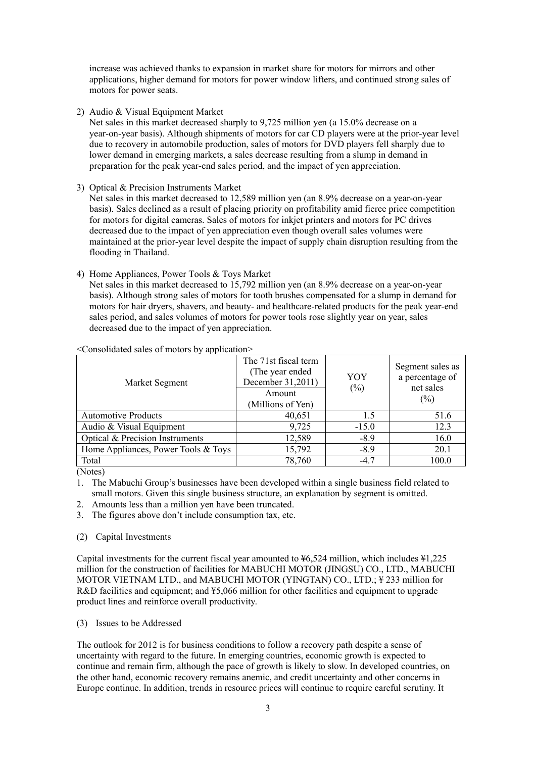increase was achieved thanks to expansion in market share for motors for mirrors and other applications, higher demand for motors for power window lifters, and continued strong sales of motors for power seats.

2) Audio & Visual Equipment Market

Net sales in this market decreased sharply to 9,725 million yen (a 15.0% decrease on a year-on-year basis). Although shipments of motors for car CD players were at the prior-year level due to recovery in automobile production, sales of motors for DVD players fell sharply due to lower demand in emerging markets, a sales decrease resulting from a slump in demand in preparation for the peak year-end sales period, and the impact of yen appreciation.

3) Optical & Precision Instruments Market

Net sales in this market decreased to 12,589 million yen (an 8.9% decrease on a year-on-year basis). Sales declined as a result of placing priority on profitability amid fierce price competition for motors for digital cameras. Sales of motors for inkjet printers and motors for PC drives decreased due to the impact of yen appreciation even though overall sales volumes were maintained at the prior-year level despite the impact of supply chain disruption resulting from the flooding in Thailand.

### 4) Home Appliances, Power Tools & Toys Market

Net sales in this market decreased to 15,792 million yen (an 8.9% decrease on a year-on-year basis). Although strong sales of motors for tooth brushes compensated for a slump in demand for motors for hair dryers, shavers, and beauty- and healthcare-related products for the peak year-end sales period, and sales volumes of motors for power tools rose slightly year on year, sales decreased due to the impact of yen appreciation.

| $\sim$ Consonaated sales of motors by application- |                                                                                                               |         |                                                            |  |  |  |
|----------------------------------------------------|---------------------------------------------------------------------------------------------------------------|---------|------------------------------------------------------------|--|--|--|
| Market Segment                                     | The 71st fiscal term<br>(The year ended)<br>YOY<br>December 31,2011)<br>$(\%)$<br>Amount<br>(Millions of Yen) |         | Segment sales as<br>a percentage of<br>net sales<br>$(\%)$ |  |  |  |
| <b>Automotive Products</b>                         | 40,651                                                                                                        | 1.5     | 51.6                                                       |  |  |  |
| Audio & Visual Equipment                           | 9,725                                                                                                         | $-15.0$ | 12.3                                                       |  |  |  |
| Optical & Precision Instruments                    | 12,589                                                                                                        | $-8.9$  | 16.0                                                       |  |  |  |
| Home Appliances, Power Tools & Toys                | 15,792                                                                                                        | $-8.9$  | 20.1                                                       |  |  |  |
| Total                                              | 78,760                                                                                                        | $-4.7$  | 100.0                                                      |  |  |  |

<Consolidated sales of motors by application>

(Notes)

- 1. The Mabuchi Group's businesses have been developed within a single business field related to small motors. Given this single business structure, an explanation by segment is omitted.
- 2. Amounts less than a million yen have been truncated.
- 3. The figures above don't include consumption tax, etc.
- (2) Capital Investments

Capital investments for the current fiscal year amounted to  $\frac{1}{6}$ ,  $\frac{524}{1}$  million, which includes  $\frac{1}{2}$ ,  $\frac{225}{1}$ million for the construction of facilities for MABUCHI MOTOR (JINGSU) CO., LTD., MABUCHI MOTOR VIETNAM LTD., and MABUCHI MOTOR (YINGTAN) CO., LTD.; ¥ 233 million for R&D facilities and equipment; and ¥5,066 million for other facilities and equipment to upgrade product lines and reinforce overall productivity.

#### (3) Issues to be Addressed

The outlook for 2012 is for business conditions to follow a recovery path despite a sense of uncertainty with regard to the future. In emerging countries, economic growth is expected to continue and remain firm, although the pace of growth is likely to slow. In developed countries, on the other hand, economic recovery remains anemic, and credit uncertainty and other concerns in Europe continue. In addition, trends in resource prices will continue to require careful scrutiny. It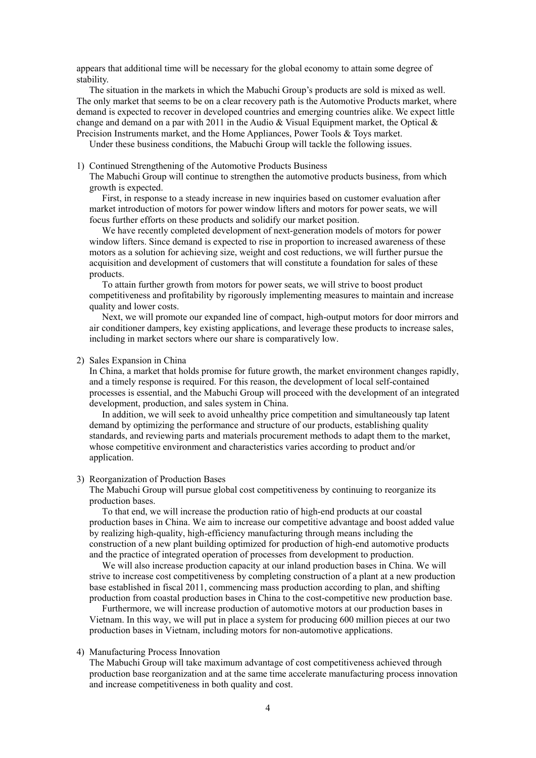appears that additional time will be necessary for the global economy to attain some degree of stability.

The situation in the markets in which the Mabuchi Group's products are sold is mixed as well. The only market that seems to be on a clear recovery path is the Automotive Products market, where demand is expected to recover in developed countries and emerging countries alike. We expect little change and demand on a par with 2011 in the Audio & Visual Equipment market, the Optical  $\&$ Precision Instruments market, and the Home Appliances, Power Tools & Toys market.

Under these business conditions, the Mabuchi Group will tackle the following issues.

1) Continued Strengthening of the Automotive Products Business

The Mabuchi Group will continue to strengthen the automotive products business, from which growth is expected.

First, in response to a steady increase in new inquiries based on customer evaluation after market introduction of motors for power window lifters and motors for power seats, we will focus further efforts on these products and solidify our market position.

We have recently completed development of next-generation models of motors for power window lifters. Since demand is expected to rise in proportion to increased awareness of these motors as a solution for achieving size, weight and cost reductions, we will further pursue the acquisition and development of customers that will constitute a foundation for sales of these products.

To attain further growth from motors for power seats, we will strive to boost product competitiveness and profitability by rigorously implementing measures to maintain and increase quality and lower costs.

Next, we will promote our expanded line of compact, high-output motors for door mirrors and air conditioner dampers, key existing applications, and leverage these products to increase sales, including in market sectors where our share is comparatively low.

#### 2) Sales Expansion in China

In China, a market that holds promise for future growth, the market environment changes rapidly, and a timely response is required. For this reason, the development of local self-contained processes is essential, and the Mabuchi Group will proceed with the development of an integrated development, production, and sales system in China.

In addition, we will seek to avoid unhealthy price competition and simultaneously tap latent demand by optimizing the performance and structure of our products, establishing quality standards, and reviewing parts and materials procurement methods to adapt them to the market, whose competitive environment and characteristics varies according to product and/or application.

### 3) Reorganization of Production Bases

The Mabuchi Group will pursue global cost competitiveness by continuing to reorganize its production bases.

To that end, we will increase the production ratio of high-end products at our coastal production bases in China. We aim to increase our competitive advantage and boost added value by realizing high-quality, high-efficiency manufacturing through means including the construction of a new plant building optimized for production of high-end automotive products and the practice of integrated operation of processes from development to production.

We will also increase production capacity at our inland production bases in China. We will strive to increase cost competitiveness by completing construction of a plant at a new production base established in fiscal 2011, commencing mass production according to plan, and shifting production from coastal production bases in China to the cost-competitive new production base.

Furthermore, we will increase production of automotive motors at our production bases in Vietnam. In this way, we will put in place a system for producing 600 million pieces at our two production bases in Vietnam, including motors for non-automotive applications.

#### 4) Manufacturing Process Innovation

The Mabuchi Group will take maximum advantage of cost competitiveness achieved through production base reorganization and at the same time accelerate manufacturing process innovation and increase competitiveness in both quality and cost.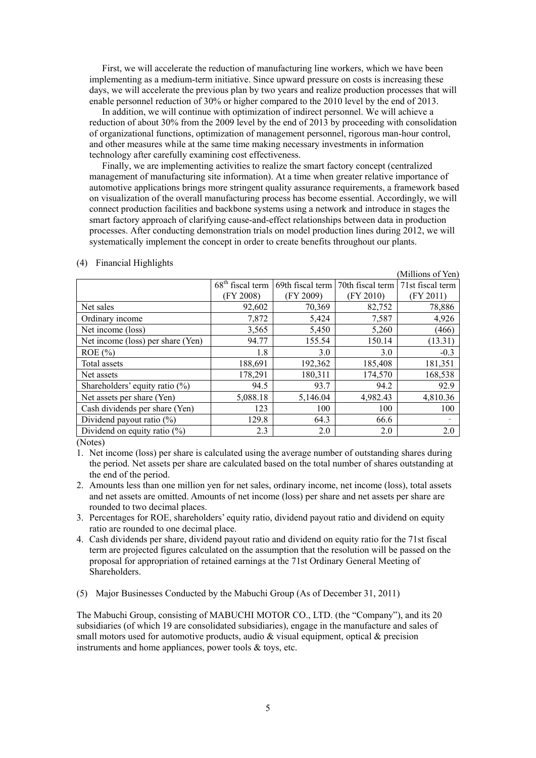First, we will accelerate the reduction of manufacturing line workers, which we have been implementing as a medium-term initiative. Since upward pressure on costs is increasing these days, we will accelerate the previous plan by two years and realize production processes that will enable personnel reduction of 30% or higher compared to the 2010 level by the end of 2013.

In addition, we will continue with optimization of indirect personnel. We will achieve a reduction of about 30% from the 2009 level by the end of 2013 by proceeding with consolidation of organizational functions, optimization of management personnel, rigorous man-hour control, and other measures while at the same time making necessary investments in information technology after carefully examining cost effectiveness.

Finally, we are implementing activities to realize the smart factory concept (centralized management of manufacturing site information). At a time when greater relative importance of automotive applications brings more stringent quality assurance requirements, a framework based on visualization of the overall manufacturing process has become essential. Accordingly, we will connect production facilities and backbone systems using a network and introduce in stages the smart factory approach of clarifying cause-and-effect relationships between data in production processes. After conducting demonstration trials on model production lines during 2012, we will systematically implement the concept in order to create benefits throughout our plants.

|                                   |                    |                  |                  | (Millions of Yen) |
|-----------------------------------|--------------------|------------------|------------------|-------------------|
|                                   | $68th$ fiscal term | 69th fiscal term | 70th fiscal term | 71st fiscal term  |
|                                   | (FY 2008)          | (FY 2009)        | (FY 2010)        | (FY 2011)         |
| Net sales                         | 92,602             | 70,369           | 82,752           | 78,886            |
| Ordinary income                   | 7,872              | 5,424            | 7,587            | 4,926             |
| Net income (loss)                 | 3,565              | 5,450            | 5,260            | (466)             |
| Net income (loss) per share (Yen) | 94.77              | 155.54           | 150.14           | (13.31)           |
| $ROE (\% )$                       | 1.8                | 3.0              | 3.0              | $-0.3$            |
| Total assets                      | 188,691            | 192,362          | 185,408          | 181,351           |
| Net assets                        | 178,291            | 180,311          | 174,570          | 168,538           |
| Shareholders' equity ratio (%)    | 94.5               | 93.7             | 94.2             | 92.9              |
| Net assets per share (Yen)        | 5,088.18           | 5,146.04         | 4,982.43         | 4,810.36          |
| Cash dividends per share (Yen)    | 123                | 100              | 100              | 100               |
| Dividend payout ratio $(\%)$      | 129.8              | 64.3             | 66.6             |                   |
| Dividend on equity ratio $(\%)$   | 2.3                | 2.0              | 2.0              | 2.0               |

#### (4) Financial Highlights

(Notes)

1. Net income (loss) per share is calculated using the average number of outstanding shares during the period. Net assets per share are calculated based on the total number of shares outstanding at the end of the period.

- 2. Amounts less than one million yen for net sales, ordinary income, net income (loss), total assets and net assets are omitted. Amounts of net income (loss) per share and net assets per share are rounded to two decimal places.
- 3. Percentages for ROE, shareholders' equity ratio, dividend payout ratio and dividend on equity ratio are rounded to one decimal place.
- 4. Cash dividends per share, dividend payout ratio and dividend on equity ratio for the 71st fiscal term are projected figures calculated on the assumption that the resolution will be passed on the proposal for appropriation of retained earnings at the 71st Ordinary General Meeting of Shareholders.
- (5) Major Businesses Conducted by the Mabuchi Group (As of December 31, 2011)

The Mabuchi Group, consisting of MABUCHI MOTOR CO., LTD. (the "Company"), and its 20 subsidiaries (of which 19 are consolidated subsidiaries), engage in the manufacture and sales of small motors used for automotive products, audio  $\&$  visual equipment, optical  $\&$  precision instruments and home appliances, power tools & toys, etc.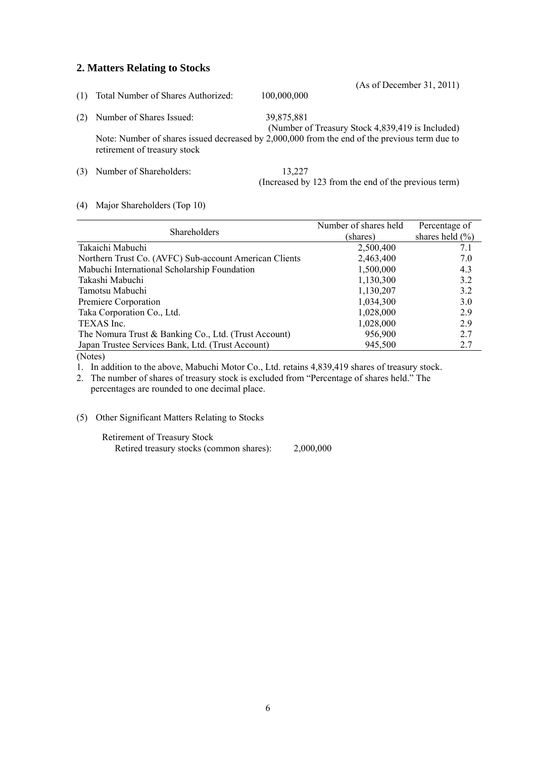## **2. Matters Relating to Stocks**

| (1) | Total Number of Shares Authorized:                                                                                            | 100,000,000 | (As of December 31, 2011)                            |
|-----|-------------------------------------------------------------------------------------------------------------------------------|-------------|------------------------------------------------------|
| (2) | Number of Shares Issued:                                                                                                      | 39,875,881  | (Number of Treasury Stock 4,839,419 is Included)     |
|     | Note: Number of shares issued decreased by 2,000,000 from the end of the previous term due to<br>retirement of treasury stock |             |                                                      |
|     | Number of Shareholders:                                                                                                       | 13,227      | (Increased by 123 from the end of the previous term) |

### (4) Major Shareholders (Top 10)

|                                                        | Number of shares held | Percentage of       |  |
|--------------------------------------------------------|-----------------------|---------------------|--|
| Shareholders                                           | (shares)              | shares held $(\% )$ |  |
| Takaichi Mabuchi                                       | 2,500,400             | 7.1                 |  |
| Northern Trust Co. (AVFC) Sub-account American Clients | 2,463,400             | 7.0                 |  |
| Mabuchi International Scholarship Foundation           | 1,500,000             | 4.3                 |  |
| Takashi Mabuchi                                        | 1,130,300             | 3.2                 |  |
| Tamotsu Mabuchi                                        | 1,130,207             | 3.2                 |  |
| Premiere Corporation                                   | 1,034,300             | 3.0                 |  |
| Taka Corporation Co., Ltd.                             | 1,028,000             | 2.9                 |  |
| TEXAS Inc.                                             | 1,028,000             | 2.9                 |  |
| The Nomura Trust & Banking Co., Ltd. (Trust Account)   | 956,900               | 2.7                 |  |
| Japan Trustee Services Bank, Ltd. (Trust Account)      | 945,500               | 2.7                 |  |
| $\Delta T$ $\Delta$                                    |                       |                     |  |

(Notes)

1. In addition to the above, Mabuchi Motor Co., Ltd. retains 4,839,419 shares of treasury stock.

2. The number of shares of treasury stock is excluded from "Percentage of shares held." The percentages are rounded to one decimal place.

(5) Other Significant Matters Relating to Stocks

Retirement of Treasury Stock Retired treasury stocks (common shares): 2,000,000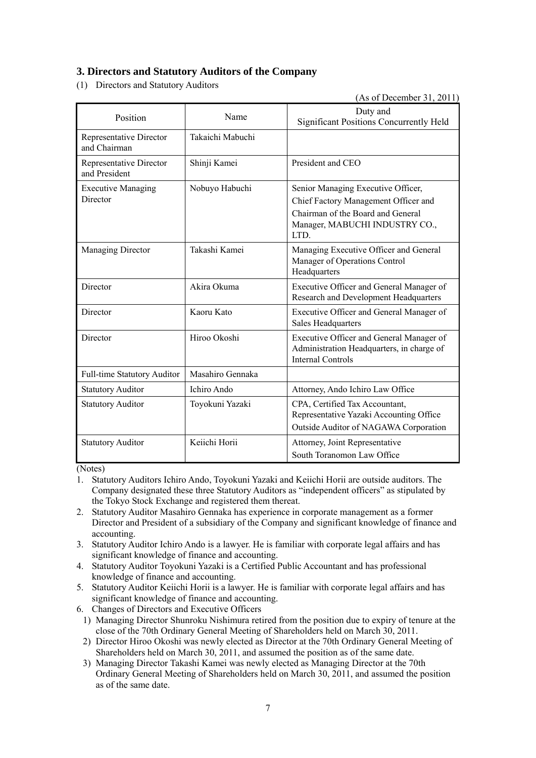# **3. Directors and Statutory Auditors of the Company**

(1) Directors and Statutory Auditors

(As of December 31, 2011)

| Position                                 | Name             | Duty and<br><b>Significant Positions Concurrently Held</b>                                                                                                |
|------------------------------------------|------------------|-----------------------------------------------------------------------------------------------------------------------------------------------------------|
| Representative Director<br>and Chairman  | Takaichi Mabuchi |                                                                                                                                                           |
| Representative Director<br>and President | Shinji Kamei     | President and CEO                                                                                                                                         |
| <b>Executive Managing</b><br>Director    | Nobuyo Habuchi   | Senior Managing Executive Officer,<br>Chief Factory Management Officer and<br>Chairman of the Board and General<br>Manager, MABUCHI INDUSTRY CO.,<br>LTD. |
| Managing Director                        | Takashi Kamei    | Managing Executive Officer and General<br>Manager of Operations Control<br>Headquarters                                                                   |
| Director                                 | Akira Okuma      | Executive Officer and General Manager of<br>Research and Development Headquarters                                                                         |
| Director                                 | Kaoru Kato       | Executive Officer and General Manager of<br>Sales Headquarters                                                                                            |
| Director                                 | Hiroo Okoshi     | Executive Officer and General Manager of<br>Administration Headquarters, in charge of<br><b>Internal Controls</b>                                         |
| <b>Full-time Statutory Auditor</b>       | Masahiro Gennaka |                                                                                                                                                           |
| <b>Statutory Auditor</b>                 | Ichiro Ando      | Attorney, Ando Ichiro Law Office                                                                                                                          |
| <b>Statutory Auditor</b>                 | Toyokuni Yazaki  | CPA, Certified Tax Accountant,<br>Representative Yazaki Accounting Office<br>Outside Auditor of NAGAWA Corporation                                        |
| <b>Statutory Auditor</b>                 | Keiichi Horii    | Attorney, Joint Representative<br>South Toranomon Law Office                                                                                              |

(Notes)

- 1. Statutory Auditors Ichiro Ando, Toyokuni Yazaki and Keiichi Horii are outside auditors. The Company designated these three Statutory Auditors as "independent officers" as stipulated by the Tokyo Stock Exchange and registered them thereat.
- 2. Statutory Auditor Masahiro Gennaka has experience in corporate management as a former Director and President of a subsidiary of the Company and significant knowledge of finance and accounting.
- 3. Statutory Auditor Ichiro Ando is a lawyer. He is familiar with corporate legal affairs and has significant knowledge of finance and accounting.
- 4. Statutory Auditor Toyokuni Yazaki is a Certified Public Accountant and has professional knowledge of finance and accounting.
- 5. Statutory Auditor Keiichi Horii is a lawyer. He is familiar with corporate legal affairs and has significant knowledge of finance and accounting.
- 6. Changes of Directors and Executive Officers
- 1) Managing Director Shunroku Nishimura retired from the position due to expiry of tenure at the close of the 70th Ordinary General Meeting of Shareholders held on March 30, 2011.
- 2) Director Hiroo Okoshi was newly elected as Director at the 70th Ordinary General Meeting of Shareholders held on March 30, 2011, and assumed the position as of the same date.
- 3) Managing Director Takashi Kamei was newly elected as Managing Director at the 70th Ordinary General Meeting of Shareholders held on March 30, 2011, and assumed the position as of the same date.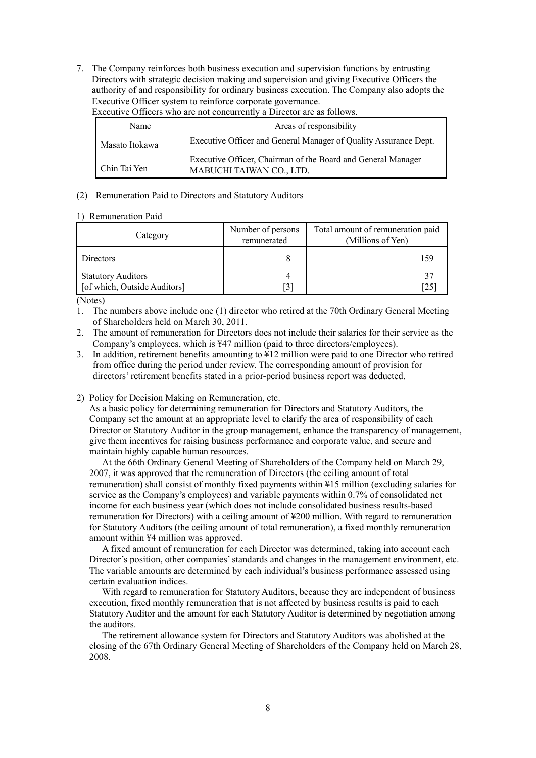7. The Company reinforces both business execution and supervision functions by entrusting Directors with strategic decision making and supervision and giving Executive Officers the authority of and responsibility for ordinary business execution. The Company also adopts the Executive Officer system to reinforce corporate governance.

| Name           | Areas of responsibility                                                                  |
|----------------|------------------------------------------------------------------------------------------|
| Masato Itokawa | Executive Officer and General Manager of Quality Assurance Dept.                         |
| Chin Tai Yen   | Executive Officer, Chairman of the Board and General Manager<br>MABUCHI TAIWAN CO., LTD. |

Executive Officers who are not concurrently a Director are as follows.

### (2) Remuneration Paid to Directors and Statutory Auditors

### 1) Remuneration Paid

| Category                                                  | Number of persons<br>remunerated | Total amount of remuneration paid<br>(Millions of Yen) |
|-----------------------------------------------------------|----------------------------------|--------------------------------------------------------|
| Directors                                                 |                                  | 159                                                    |
| <b>Statutory Auditors</b><br>[of which, Outside Auditors] | $\left[3\right]$                 | [25                                                    |

(Notes)

1. The numbers above include one (1) director who retired at the 70th Ordinary General Meeting of Shareholders held on March 30, 2011.

2. The amount of remuneration for Directors does not include their salaries for their service as the Company's employees, which is ¥47 million (paid to three directors/employees).

- 3. In addition, retirement benefits amounting to ¥12 million were paid to one Director who retired from office during the period under review. The corresponding amount of provision for directors' retirement benefits stated in a prior-period business report was deducted.
- 2) Policy for Decision Making on Remuneration, etc.

As a basic policy for determining remuneration for Directors and Statutory Auditors, the Company set the amount at an appropriate level to clarify the area of responsibility of each Director or Statutory Auditor in the group management, enhance the transparency of management, give them incentives for raising business performance and corporate value, and secure and maintain highly capable human resources.

At the 66th Ordinary General Meeting of Shareholders of the Company held on March 29, 2007, it was approved that the remuneration of Directors (the ceiling amount of total remuneration) shall consist of monthly fixed payments within ¥15 million (excluding salaries for service as the Company's employees) and variable payments within 0.7% of consolidated net income for each business year (which does not include consolidated business results-based remuneration for Directors) with a ceiling amount of ¥200 million. With regard to remuneration for Statutory Auditors (the ceiling amount of total remuneration), a fixed monthly remuneration amount within ¥4 million was approved.

A fixed amount of remuneration for each Director was determined, taking into account each Director's position, other companies' standards and changes in the management environment, etc. The variable amounts are determined by each individual's business performance assessed using certain evaluation indices.

With regard to remuneration for Statutory Auditors, because they are independent of business execution, fixed monthly remuneration that is not affected by business results is paid to each Statutory Auditor and the amount for each Statutory Auditor is determined by negotiation among the auditors.

The retirement allowance system for Directors and Statutory Auditors was abolished at the closing of the 67th Ordinary General Meeting of Shareholders of the Company held on March 28, 2008.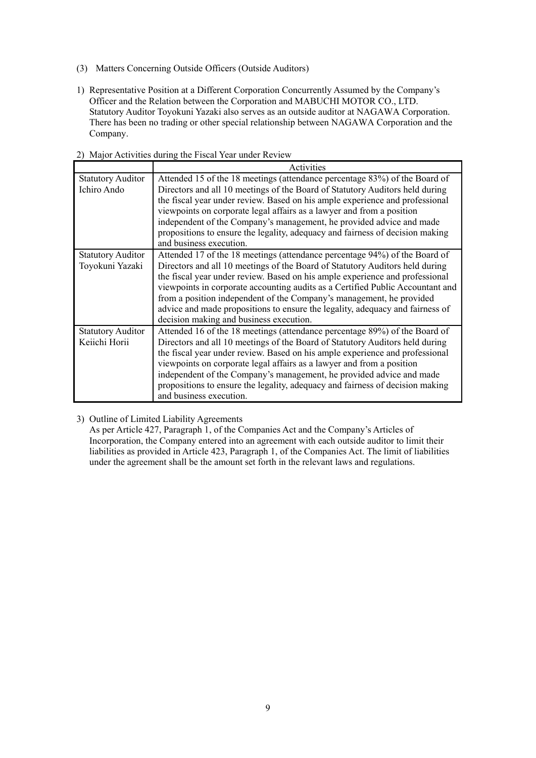- (3) Matters Concerning Outside Officers (Outside Auditors)
- 1) Representative Position at a Different Corporation Concurrently Assumed by the Company's Officer and the Relation between the Corporation and MABUCHI MOTOR CO., LTD. Statutory Auditor Toyokuni Yazaki also serves as an outside auditor at NAGAWA Corporation. There has been no trading or other special relationship between NAGAWA Corporation and the Company.

|                          | <b>EVALUATE AND SOLUTION CONTRACT TO A REPORT AND A REPORT OF A REPORT OF A REPORT OF A REPORT OF A REPORT OF A R</b> |
|--------------------------|-----------------------------------------------------------------------------------------------------------------------|
|                          | Activities                                                                                                            |
| <b>Statutory Auditor</b> | Attended 15 of the 18 meetings (attendance percentage 83%) of the Board of                                            |
| Ichiro Ando              | Directors and all 10 meetings of the Board of Statutory Auditors held during                                          |
|                          | the fiscal year under review. Based on his ample experience and professional                                          |
|                          | viewpoints on corporate legal affairs as a lawyer and from a position                                                 |
|                          | independent of the Company's management, he provided advice and made                                                  |
|                          | propositions to ensure the legality, adequacy and fairness of decision making                                         |
|                          | and business execution.                                                                                               |
| <b>Statutory Auditor</b> | Attended 17 of the 18 meetings (attendance percentage 94%) of the Board of                                            |
| Toyokuni Yazaki          | Directors and all 10 meetings of the Board of Statutory Auditors held during                                          |
|                          | the fiscal year under review. Based on his ample experience and professional                                          |
|                          | viewpoints in corporate accounting audits as a Certified Public Accountant and                                        |
|                          | from a position independent of the Company's management, he provided                                                  |
|                          | advice and made propositions to ensure the legality, adequacy and fairness of                                         |
|                          | decision making and business execution.                                                                               |
| <b>Statutory Auditor</b> | Attended 16 of the 18 meetings (attendance percentage 89%) of the Board of                                            |
| Keiichi Horii            | Directors and all 10 meetings of the Board of Statutory Auditors held during                                          |
|                          | the fiscal year under review. Based on his ample experience and professional                                          |
|                          | viewpoints on corporate legal affairs as a lawyer and from a position                                                 |
|                          | independent of the Company's management, he provided advice and made                                                  |
|                          | propositions to ensure the legality, adequacy and fairness of decision making                                         |
|                          | and business execution.                                                                                               |

### 2) Major Activities during the Fiscal Year under Review

3) Outline of Limited Liability Agreements

As per Article 427, Paragraph 1, of the Companies Act and the Company's Articles of Incorporation, the Company entered into an agreement with each outside auditor to limit their liabilities as provided in Article 423, Paragraph 1, of the Companies Act. The limit of liabilities under the agreement shall be the amount set forth in the relevant laws and regulations.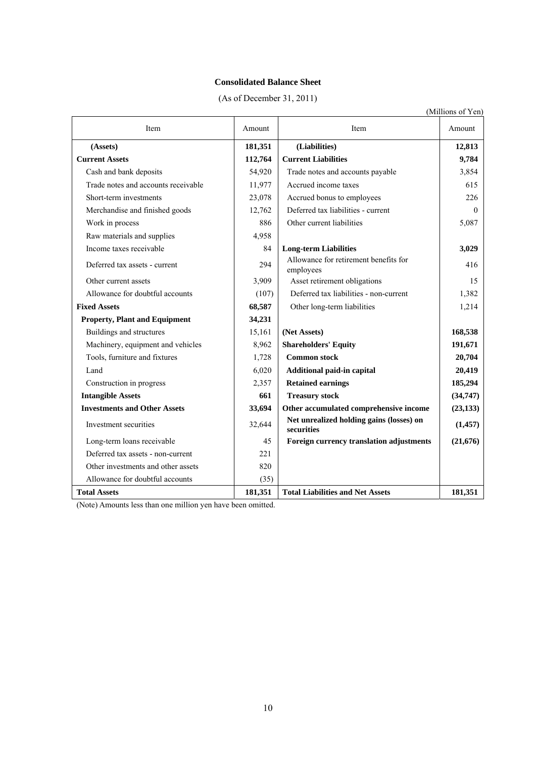## **Consolidated Balance Sheet**

| (As of December 31, 2011) |  |  |  |
|---------------------------|--|--|--|
|---------------------------|--|--|--|

|                                      |         |                                                        | (Millions of Yen) |
|--------------------------------------|---------|--------------------------------------------------------|-------------------|
| Item                                 | Amount  | Item                                                   | Amount            |
| (Assets)                             | 181,351 | (Liabilities)                                          | 12,813            |
| <b>Current Assets</b>                | 112,764 | <b>Current Liabilities</b>                             | 9,784             |
| Cash and bank deposits               | 54,920  | Trade notes and accounts payable                       | 3,854             |
| Trade notes and accounts receivable  | 11,977  | Accrued income taxes                                   | 615               |
| Short-term investments               | 23,078  | Accrued bonus to employees                             | 226               |
| Merchandise and finished goods       | 12,762  | Deferred tax liabilities - current                     | $\theta$          |
| Work in process                      | 886     | Other current liabilities                              | 5,087             |
| Raw materials and supplies           | 4,958   |                                                        |                   |
| Income taxes receivable              | 84      | <b>Long-term Liabilities</b>                           | 3,029             |
| Deferred tax assets - current        | 294     | Allowance for retirement benefits for<br>employees     | 416               |
| Other current assets                 | 3,909   | Asset retirement obligations                           | 15                |
| Allowance for doubtful accounts      | (107)   | Deferred tax liabilities - non-current                 | 1,382             |
| <b>Fixed Assets</b>                  | 68,587  | Other long-term liabilities                            | 1,214             |
| <b>Property, Plant and Equipment</b> | 34,231  |                                                        |                   |
| Buildings and structures             | 15,161  | (Net Assets)                                           | 168,538           |
| Machinery, equipment and vehicles    | 8,962   | <b>Shareholders' Equity</b>                            | 191,671           |
| Tools, furniture and fixtures        | 1,728   | <b>Common stock</b>                                    | 20,704            |
| Land                                 | 6,020   | Additional paid-in capital                             | 20,419            |
| Construction in progress             | 2,357   | <b>Retained earnings</b>                               | 185,294           |
| <b>Intangible Assets</b>             | 661     | <b>Treasury stock</b>                                  | (34, 747)         |
| <b>Investments and Other Assets</b>  | 33,694  | Other accumulated comprehensive income                 | (23, 133)         |
| Investment securities                | 32,644  | Net unrealized holding gains (losses) on<br>securities | (1,457)           |
| Long-term loans receivable           | 45      | Foreign currency translation adjustments               | (21, 676)         |
| Deferred tax assets - non-current    | 221     |                                                        |                   |
| Other investments and other assets   | 820     |                                                        |                   |
| Allowance for doubtful accounts      | (35)    |                                                        |                   |
| <b>Total Assets</b>                  | 181,351 | <b>Total Liabilities and Net Assets</b>                | 181,351           |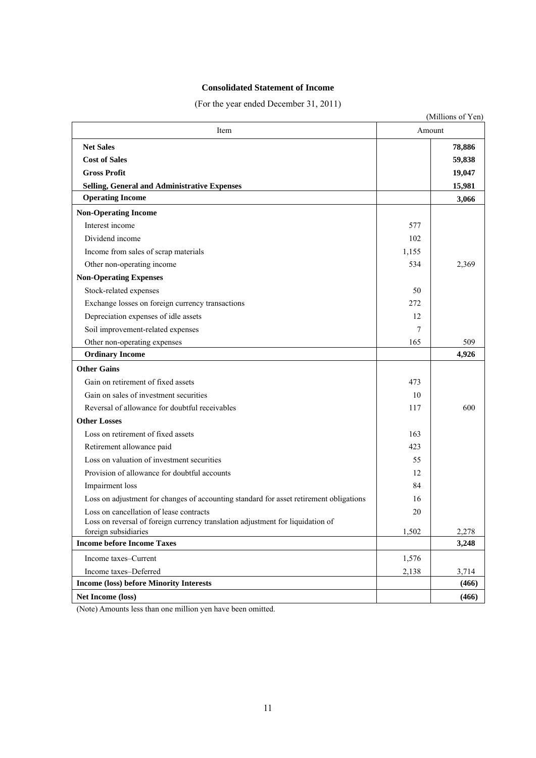## **Consolidated Statement of Income**

(For the year ended December 31, 2011)

|                                                                                        |        | (Millions of Yen) |
|----------------------------------------------------------------------------------------|--------|-------------------|
| Item                                                                                   | Amount |                   |
| <b>Net Sales</b>                                                                       |        | 78,886            |
| <b>Cost of Sales</b>                                                                   |        | 59,838            |
| <b>Gross Profit</b>                                                                    |        | 19,047            |
| <b>Selling, General and Administrative Expenses</b>                                    |        | 15,981            |
| <b>Operating Income</b>                                                                |        | 3,066             |
| <b>Non-Operating Income</b>                                                            |        |                   |
| Interest income                                                                        | 577    |                   |
| Dividend income                                                                        | 102    |                   |
| Income from sales of scrap materials                                                   | 1,155  |                   |
| Other non-operating income                                                             | 534    | 2,369             |
| <b>Non-Operating Expenses</b>                                                          |        |                   |
| Stock-related expenses                                                                 | 50     |                   |
| Exchange losses on foreign currency transactions                                       | 272    |                   |
| Depreciation expenses of idle assets                                                   | 12     |                   |
| Soil improvement-related expenses                                                      | 7      |                   |
| Other non-operating expenses                                                           | 165    | 509               |
| <b>Ordinary Income</b>                                                                 |        | 4,926             |
| <b>Other Gains</b>                                                                     |        |                   |
| Gain on retirement of fixed assets                                                     | 473    |                   |
| Gain on sales of investment securities                                                 | 10     |                   |
| Reversal of allowance for doubtful receivables                                         | 117    | 600               |
| <b>Other Losses</b>                                                                    |        |                   |
| Loss on retirement of fixed assets                                                     | 163    |                   |
| Retirement allowance paid                                                              | 423    |                   |
| Loss on valuation of investment securities                                             | 55     |                   |
| Provision of allowance for doubtful accounts                                           | 12     |                   |
| Impairment loss                                                                        | 84     |                   |
| Loss on adjustment for changes of accounting standard for asset retirement obligations | 16     |                   |
| Loss on cancellation of lease contracts                                                | 20     |                   |
| Loss on reversal of foreign currency translation adjustment for liquidation of         |        |                   |
| foreign subsidiaries<br><b>Income before Income Taxes</b>                              | 1,502  | 2,278<br>3,248    |
|                                                                                        |        |                   |
| Income taxes-Current                                                                   | 1,576  |                   |
| Income taxes-Deferred<br><b>Income (loss) before Minority Interests</b>                | 2,138  | 3,714<br>(466)    |
|                                                                                        |        |                   |
| Net Income (loss)                                                                      |        | (466)             |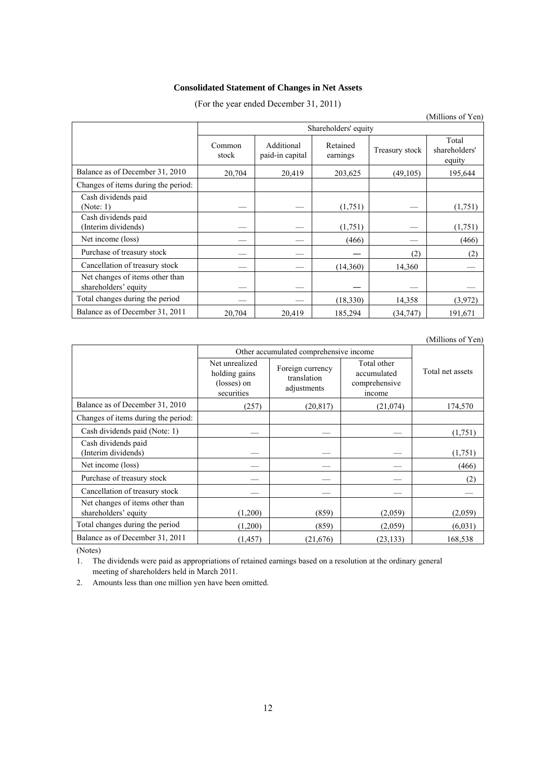### **Consolidated Statement of Changes in Net Assets**

(For the year ended December 31, 2011)

|                                                         |                      |                               |                      |                | (Millions of Yen)                |
|---------------------------------------------------------|----------------------|-------------------------------|----------------------|----------------|----------------------------------|
|                                                         | Shareholders' equity |                               |                      |                |                                  |
|                                                         | Common<br>stock      | Additional<br>paid-in capital | Retained<br>earnings | Treasury stock | Total<br>shareholders'<br>equity |
| Balance as of December 31, 2010                         | 20,704               | 20,419                        | 203,625              | (49,105)       | 195,644                          |
| Changes of items during the period:                     |                      |                               |                      |                |                                  |
| Cash dividends paid<br>(Note: 1)                        |                      |                               | (1,751)              |                | (1,751)                          |
| Cash dividends paid<br>(Interim dividends)              |                      |                               | (1,751)              |                | (1,751)                          |
| Net income (loss)                                       |                      |                               | (466)                |                | (466)                            |
| Purchase of treasury stock                              |                      |                               |                      | (2)            | (2)                              |
| Cancellation of treasury stock                          |                      |                               | (14,360)             | 14,360         |                                  |
| Net changes of items other than<br>shareholders' equity |                      |                               |                      |                |                                  |
| Total changes during the period                         |                      |                               | (18,330)             | 14,358         | (3,972)                          |
| Balance as of December 31, 2011                         | 20,704               | 20,419                        | 185,294              | (34, 747)      | 191,671                          |

### (Millions of Yen)

|                                                         | Other accumulated comprehensive income                       |                                                |                                                       |                  |
|---------------------------------------------------------|--------------------------------------------------------------|------------------------------------------------|-------------------------------------------------------|------------------|
|                                                         | Net unrealized<br>holding gains<br>(losses) on<br>securities | Foreign currency<br>translation<br>adjustments | Total other<br>accumulated<br>comprehensive<br>income | Total net assets |
| Balance as of December 31, 2010                         | (257)                                                        | (20, 817)                                      | (21, 074)                                             | 174,570          |
| Changes of items during the period:                     |                                                              |                                                |                                                       |                  |
| Cash dividends paid (Note: 1)                           |                                                              |                                                |                                                       | (1,751)          |
| Cash dividends paid<br>(Interim dividends)              |                                                              |                                                |                                                       | (1,751)          |
| Net income (loss)                                       |                                                              |                                                |                                                       | (466)            |
| Purchase of treasury stock                              |                                                              |                                                |                                                       | (2)              |
| Cancellation of treasury stock                          |                                                              |                                                |                                                       |                  |
| Net changes of items other than<br>shareholders' equity | (1,200)                                                      | (859)                                          | (2,059)                                               | (2,059)          |
| Total changes during the period                         | (1,200)                                                      | (859)                                          | (2,059)                                               | (6,031)          |
| Balance as of December 31, 2011                         | (1, 457)                                                     | (21,676)                                       | (23, 133)                                             | 168,538          |

(Notes)

1. The dividends were paid as appropriations of retained earnings based on a resolution at the ordinary general meeting of shareholders held in March 2011.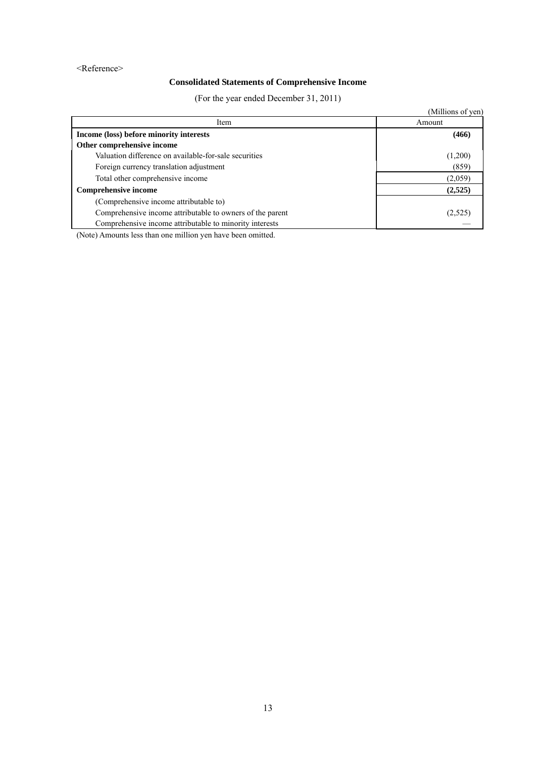<Reference>

# **Consolidated Statements of Comprehensive Income**

(For the year ended December 31, 2011)

|                                                           | (Millions of yen) |
|-----------------------------------------------------------|-------------------|
| Item                                                      | Amount            |
| Income (loss) before minority interests                   | (466)             |
| Other comprehensive income                                |                   |
| Valuation difference on available-for-sale securities     | (1,200)           |
| Foreign currency translation adjustment                   | (859)             |
| Total other comprehensive income                          | (2,059)           |
| <b>Comprehensive income</b>                               | (2,525)           |
| (Comprehensive income attributable to)                    |                   |
| Comprehensive income attributable to owners of the parent | (2,525)           |
| Comprehensive income attributable to minority interests   |                   |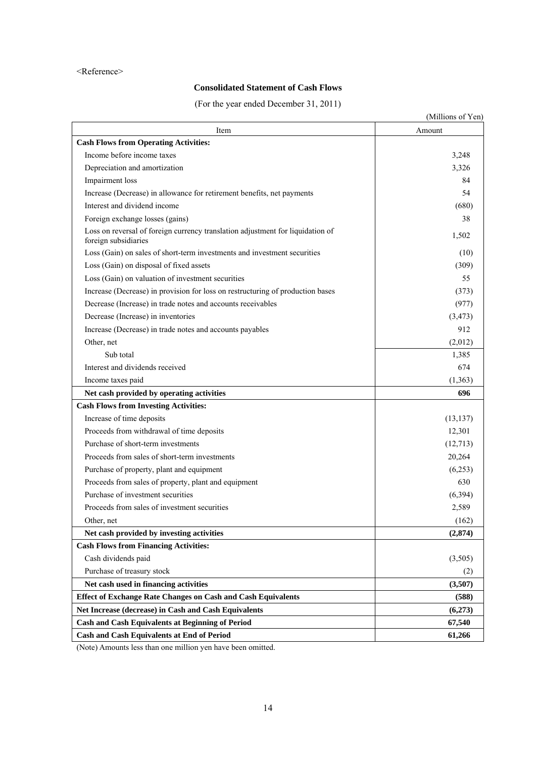## **Consolidated Statement of Cash Flows**

(For the year ended December 31, 2011)

|                                                                                                        | (Millions of Yen) |
|--------------------------------------------------------------------------------------------------------|-------------------|
| Item                                                                                                   | Amount            |
| <b>Cash Flows from Operating Activities:</b>                                                           |                   |
| Income before income taxes                                                                             | 3,248             |
| Depreciation and amortization                                                                          | 3,326             |
| Impairment loss                                                                                        | 84                |
| Increase (Decrease) in allowance for retirement benefits, net payments                                 | 54                |
| Interest and dividend income                                                                           | (680)             |
| Foreign exchange losses (gains)                                                                        | 38                |
| Loss on reversal of foreign currency translation adjustment for liquidation of<br>foreign subsidiaries | 1,502             |
| Loss (Gain) on sales of short-term investments and investment securities                               | (10)              |
| Loss (Gain) on disposal of fixed assets                                                                | (309)             |
| Loss (Gain) on valuation of investment securities                                                      | 55                |
| Increase (Decrease) in provision for loss on restructuring of production bases                         | (373)             |
| Decrease (Increase) in trade notes and accounts receivables                                            | (977)             |
| Decrease (Increase) in inventories                                                                     | (3, 473)          |
| Increase (Decrease) in trade notes and accounts payables                                               | 912               |
| Other, net                                                                                             | (2,012)           |
| Sub total                                                                                              | 1,385             |
| Interest and dividends received                                                                        | 674               |
| Income taxes paid                                                                                      | (1, 363)          |
| Net cash provided by operating activities                                                              | 696               |
| <b>Cash Flows from Investing Activities:</b>                                                           |                   |
| Increase of time deposits                                                                              | (13, 137)         |
| Proceeds from withdrawal of time deposits                                                              | 12,301            |
| Purchase of short-term investments                                                                     | (12, 713)         |
| Proceeds from sales of short-term investments                                                          | 20,264            |
| Purchase of property, plant and equipment                                                              | (6,253)           |
| Proceeds from sales of property, plant and equipment                                                   | 630               |
| Purchase of investment securities                                                                      | (6, 394)          |
| Proceeds from sales of investment securities                                                           | 2,589             |
| Other, net                                                                                             | (162)             |
| Net cash provided by investing activities                                                              | (2,874)           |
| <b>Cash Flows from Financing Activities:</b>                                                           |                   |
| Cash dividends paid                                                                                    | (3,505)           |
| Purchase of treasury stock                                                                             | (2)               |
| Net cash used in financing activities                                                                  | (3,507)           |
| <b>Effect of Exchange Rate Changes on Cash and Cash Equivalents</b>                                    | (588)             |
| Net Increase (decrease) in Cash and Cash Equivalents                                                   | (6,273)           |
| <b>Cash and Cash Equivalents at Beginning of Period</b>                                                | 67,540            |
| <b>Cash and Cash Equivalents at End of Period</b>                                                      | 61,266            |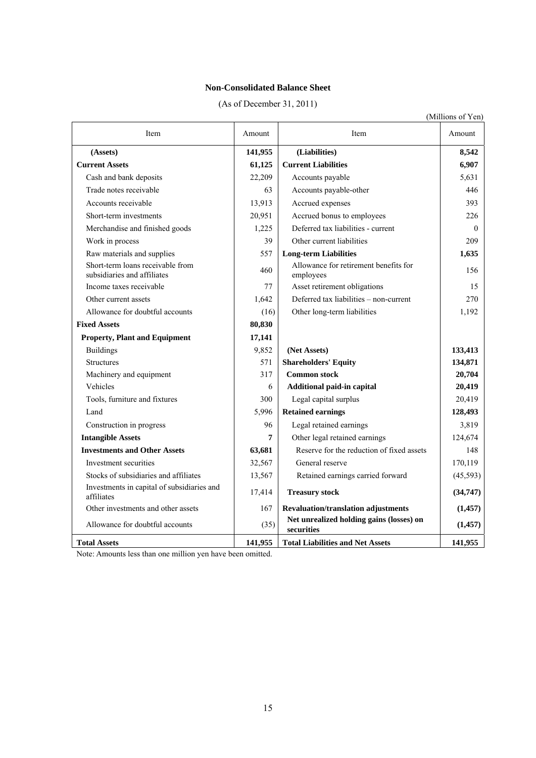## **Non-Consolidated Balance Sheet**

| (As of December 31, 2011) |
|---------------------------|
|---------------------------|

(Millions of Yen)

| Item                                                            | Amount  | Item                                                   | Amount    |
|-----------------------------------------------------------------|---------|--------------------------------------------------------|-----------|
| (Assets)                                                        | 141,955 | (Liabilities)                                          | 8,542     |
| <b>Current Assets</b>                                           | 61,125  | <b>Current Liabilities</b>                             | 6,907     |
| Cash and bank deposits                                          | 22,209  | Accounts payable                                       | 5,631     |
| Trade notes receivable                                          | 63      | Accounts payable-other                                 | 446       |
| Accounts receivable                                             | 13,913  | Accrued expenses                                       | 393       |
| Short-term investments                                          | 20,951  | Accrued bonus to employees                             | 226       |
| Merchandise and finished goods                                  | 1,225   | Deferred tax liabilities - current                     | $\Omega$  |
| Work in process                                                 | 39      | Other current liabilities                              | 209       |
| Raw materials and supplies                                      | 557     | <b>Long-term Liabilities</b>                           | 1,635     |
| Short-term loans receivable from<br>subsidiaries and affiliates | 460     | Allowance for retirement benefits for<br>employees     | 156       |
| Income taxes receivable                                         | 77      | Asset retirement obligations                           | 15        |
| Other current assets                                            | 1,642   | Deferred tax liabilities - non-current                 | 270       |
| Allowance for doubtful accounts                                 | (16)    | Other long-term liabilities                            | 1,192     |
| <b>Fixed Assets</b>                                             | 80,830  |                                                        |           |
| <b>Property, Plant and Equipment</b>                            | 17,141  |                                                        |           |
| <b>Buildings</b>                                                | 9,852   | (Net Assets)                                           | 133,413   |
| <b>Structures</b>                                               | 571     | <b>Shareholders' Equity</b>                            | 134,871   |
| Machinery and equipment                                         | 317     | <b>Common stock</b>                                    | 20,704    |
| Vehicles                                                        | 6       | Additional paid-in capital                             | 20,419    |
| Tools, furniture and fixtures                                   | 300     | Legal capital surplus                                  | 20,419    |
| Land                                                            | 5,996   | <b>Retained earnings</b>                               | 128,493   |
| Construction in progress                                        | 96      | Legal retained earnings                                | 3,819     |
| <b>Intangible Assets</b>                                        | 7       | Other legal retained earnings                          | 124,674   |
| <b>Investments and Other Assets</b>                             | 63,681  | Reserve for the reduction of fixed assets              | 148       |
| Investment securities                                           | 32,567  | General reserve                                        | 170,119   |
| Stocks of subsidiaries and affiliates                           | 13,567  | Retained earnings carried forward                      | (45, 593) |
| Investments in capital of subsidiaries and<br>affiliates        | 17,414  | <b>Treasury stock</b>                                  | (34, 747) |
| Other investments and other assets                              | 167     | Revaluation/translation adjustments                    | (1, 457)  |
| Allowance for doubtful accounts                                 | (35)    | Net unrealized holding gains (losses) on<br>securities | (1,457)   |
| <b>Total Assets</b>                                             | 141,955 | <b>Total Liabilities and Net Assets</b>                | 141,955   |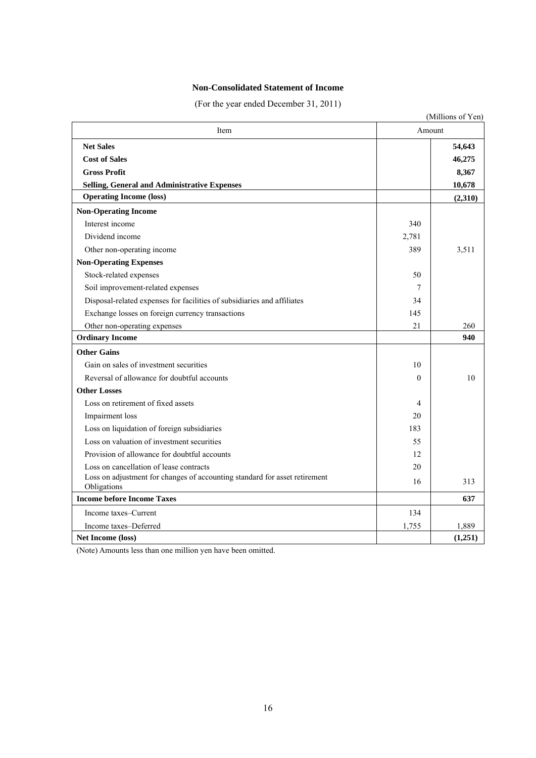## **Non-Consolidated Statement of Income**

(For the year ended December 31, 2011)

|                                                                                           |          | (Millions of Yen) |
|-------------------------------------------------------------------------------------------|----------|-------------------|
| Item                                                                                      | Amount   |                   |
| <b>Net Sales</b>                                                                          |          | 54,643            |
| <b>Cost of Sales</b>                                                                      |          | 46,275            |
| <b>Gross Profit</b>                                                                       |          | 8,367             |
| <b>Selling, General and Administrative Expenses</b>                                       |          | 10,678            |
| <b>Operating Income (loss)</b>                                                            |          | (2,310)           |
| <b>Non-Operating Income</b>                                                               |          |                   |
| Interest income                                                                           | 340      |                   |
| Dividend income                                                                           | 2,781    |                   |
| Other non-operating income                                                                | 389      | 3,511             |
| <b>Non-Operating Expenses</b>                                                             |          |                   |
| Stock-related expenses                                                                    | 50       |                   |
| Soil improvement-related expenses                                                         | 7        |                   |
| Disposal-related expenses for facilities of subsidiaries and affiliates                   | 34       |                   |
| Exchange losses on foreign currency transactions                                          | 145      |                   |
| Other non-operating expenses                                                              | 21       | 260               |
| <b>Ordinary Income</b>                                                                    |          | 940               |
| <b>Other Gains</b>                                                                        |          |                   |
| Gain on sales of investment securities                                                    | 10       |                   |
| Reversal of allowance for doubtful accounts                                               | $\Omega$ | 10                |
| <b>Other Losses</b>                                                                       |          |                   |
| Loss on retirement of fixed assets                                                        | 4        |                   |
| Impairment loss                                                                           | 20       |                   |
| Loss on liquidation of foreign subsidiaries                                               | 183      |                   |
| Loss on valuation of investment securities                                                | 55       |                   |
| Provision of allowance for doubtful accounts                                              | 12       |                   |
| Loss on cancellation of lease contracts                                                   | 20       |                   |
| Loss on adjustment for changes of accounting standard for asset retirement<br>Obligations | 16       | 313               |
| <b>Income before Income Taxes</b>                                                         |          | 637               |
| Income taxes–Current                                                                      | 134      |                   |
| Income taxes-Deferred                                                                     | 1,755    | 1,889             |
| <b>Net Income (loss)</b>                                                                  |          | (1,251)           |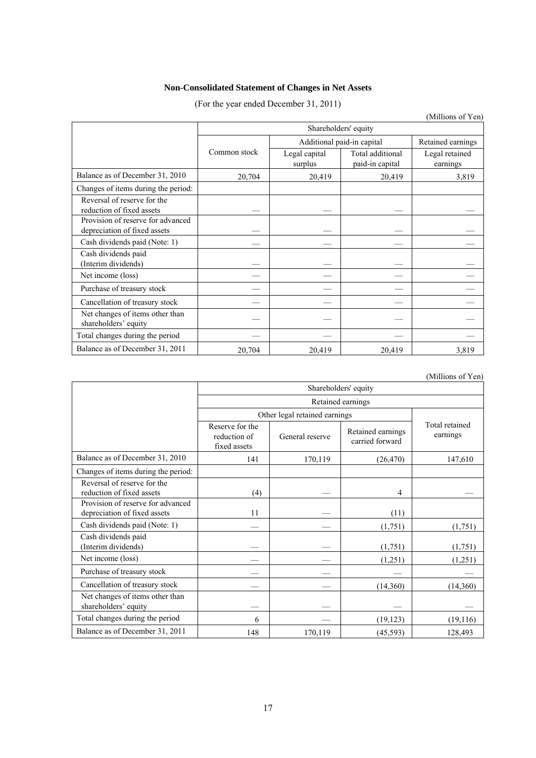# **Non-Consolidated Statement of Changes in Net Assets**

(For the year ended December 31, 2011)

|                                                                   |                      |                            |                                     | (Millions of Yen)          |  |  |
|-------------------------------------------------------------------|----------------------|----------------------------|-------------------------------------|----------------------------|--|--|
|                                                                   | Shareholders' equity |                            |                                     |                            |  |  |
|                                                                   |                      | Additional paid-in capital | Retained earnings                   |                            |  |  |
|                                                                   | Common stock         | Legal capital<br>surplus   | Total additional<br>paid-in capital | Legal retained<br>earnings |  |  |
| Balance as of December 31, 2010                                   | 20,704               | 20,419                     | 20,419                              | 3,819                      |  |  |
| Changes of items during the period:                               |                      |                            |                                     |                            |  |  |
| Reversal of reserve for the<br>reduction of fixed assets          |                      |                            |                                     |                            |  |  |
| Provision of reserve for advanced<br>depreciation of fixed assets |                      |                            |                                     |                            |  |  |
| Cash dividends paid (Note: 1)                                     |                      |                            |                                     |                            |  |  |
| Cash dividends paid<br>(Interim dividends)                        |                      |                            |                                     |                            |  |  |
| Net income (loss)                                                 |                      |                            |                                     |                            |  |  |
| Purchase of treasury stock                                        |                      |                            |                                     |                            |  |  |
| Cancellation of treasury stock                                    |                      |                            |                                     |                            |  |  |
| Net changes of items other than<br>shareholders' equity           |                      |                            |                                     |                            |  |  |
| Total changes during the period                                   |                      |                            |                                     |                            |  |  |
| Balance as of December 31, 2011                                   | 20,704               | 20,419                     | 20,419                              | 3,819                      |  |  |

(Millions of Yen)

|                                                                   | Shareholders' equity                            |                 |                                      |                            |  |  |
|-------------------------------------------------------------------|-------------------------------------------------|-----------------|--------------------------------------|----------------------------|--|--|
|                                                                   |                                                 |                 |                                      |                            |  |  |
|                                                                   | Other legal retained earnings                   |                 |                                      |                            |  |  |
|                                                                   | Reserve for the<br>reduction of<br>fixed assets | General reserve | Retained earnings<br>carried forward | Total retained<br>earnings |  |  |
| Balance as of December 31, 2010                                   | 141                                             | 170,119         | (26, 470)                            | 147,610                    |  |  |
| Changes of items during the period:                               |                                                 |                 |                                      |                            |  |  |
| Reversal of reserve for the<br>reduction of fixed assets          | (4)                                             |                 | 4                                    |                            |  |  |
| Provision of reserve for advanced<br>depreciation of fixed assets | 11                                              |                 | (11)                                 |                            |  |  |
| Cash dividends paid (Note: 1)                                     |                                                 |                 | (1,751)                              | (1,751)                    |  |  |
| Cash dividends paid<br>(Interim dividends)                        |                                                 |                 | (1,751)                              | (1,751)                    |  |  |
| Net income (loss)                                                 |                                                 |                 | (1,251)                              | (1,251)                    |  |  |
| Purchase of treasury stock                                        |                                                 |                 |                                      |                            |  |  |
| Cancellation of treasury stock                                    |                                                 |                 | (14,360)                             | (14,360)                   |  |  |
| Net changes of items other than<br>shareholders' equity           |                                                 |                 |                                      |                            |  |  |
| Total changes during the period                                   | 6                                               |                 | (19, 123)                            | (19,116)                   |  |  |
| Balance as of December 31, 2011                                   | 148                                             | 170,119         | (45, 593)                            | 128,493                    |  |  |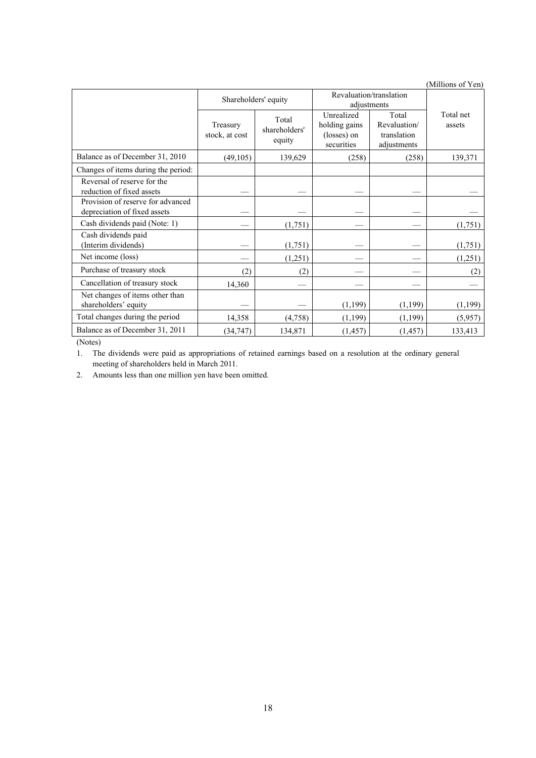| (Millions of Yen) |  |
|-------------------|--|
|-------------------|--|

|                                                                   | Shareholders' equity       |                                  | Revaluation/translation<br>adjustments                   |                                                     |                     |
|-------------------------------------------------------------------|----------------------------|----------------------------------|----------------------------------------------------------|-----------------------------------------------------|---------------------|
|                                                                   | Treasury<br>stock, at cost | Total<br>shareholders'<br>equity | Unrealized<br>holding gains<br>(losses) on<br>securities | Total<br>Revaluation/<br>translation<br>adjustments | Total net<br>assets |
| Balance as of December 31, 2010                                   | (49,105)                   | 139,629                          | (258)                                                    | (258)                                               | 139,371             |
| Changes of items during the period:                               |                            |                                  |                                                          |                                                     |                     |
| Reversal of reserve for the<br>reduction of fixed assets          |                            |                                  |                                                          |                                                     |                     |
| Provision of reserve for advanced<br>depreciation of fixed assets |                            |                                  |                                                          |                                                     |                     |
| Cash dividends paid (Note: 1)                                     |                            | (1,751)                          |                                                          |                                                     | (1,751)             |
| Cash dividends paid<br>(Interim dividends)                        |                            | (1,751)                          |                                                          |                                                     | (1,751)             |
| Net income (loss)                                                 |                            | (1,251)                          |                                                          |                                                     | (1,251)             |
| Purchase of treasury stock                                        | (2)                        | (2)                              |                                                          |                                                     | (2)                 |
| Cancellation of treasury stock                                    | 14,360                     |                                  |                                                          |                                                     |                     |
| Net changes of items other than<br>shareholders' equity           |                            |                                  | (1,199)                                                  | (1, 199)                                            | (1, 199)            |
| Total changes during the period                                   | 14,358                     | (4,758)                          | (1, 199)                                                 | (1, 199)                                            | (5,957)             |
| Balance as of December 31, 2011                                   | (34, 747)                  | 134,871                          | (1, 457)                                                 | (1, 457)                                            | 133,413             |

(Notes)

1. The dividends were paid as appropriations of retained earnings based on a resolution at the ordinary general meeting of shareholders held in March 2011.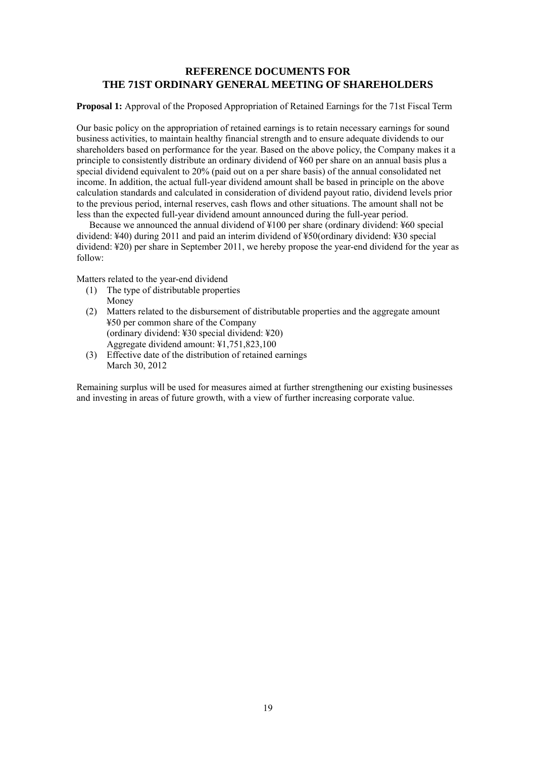## **REFERENCE DOCUMENTS FOR THE 71ST ORDINARY GENERAL MEETING OF SHAREHOLDERS**

**Proposal 1:** Approval of the Proposed Appropriation of Retained Earnings for the 71st Fiscal Term

Our basic policy on the appropriation of retained earnings is to retain necessary earnings for sound business activities, to maintain healthy financial strength and to ensure adequate dividends to our shareholders based on performance for the year. Based on the above policy, the Company makes it a principle to consistently distribute an ordinary dividend of ¥60 per share on an annual basis plus a special dividend equivalent to 20% (paid out on a per share basis) of the annual consolidated net income. In addition, the actual full-year dividend amount shall be based in principle on the above calculation standards and calculated in consideration of dividend payout ratio, dividend levels prior to the previous period, internal reserves, cash flows and other situations. The amount shall not be less than the expected full-year dividend amount announced during the full-year period.

Because we announced the annual dividend of ¥100 per share (ordinary dividend: ¥60 special dividend: ¥40) during 2011 and paid an interim dividend of ¥50(ordinary dividend: ¥30 special dividend: ¥20) per share in September 2011, we hereby propose the year-end dividend for the year as follow:

Matters related to the year-end dividend

- (1) The type of distributable properties Money
- (2) Matters related to the disbursement of distributable properties and the aggregate amount ¥50 per common share of the Company (ordinary dividend: ¥30 special dividend: ¥20) Aggregate dividend amount: ¥1,751,823,100
- (3) Effective date of the distribution of retained earnings March 30, 2012

Remaining surplus will be used for measures aimed at further strengthening our existing businesses and investing in areas of future growth, with a view of further increasing corporate value.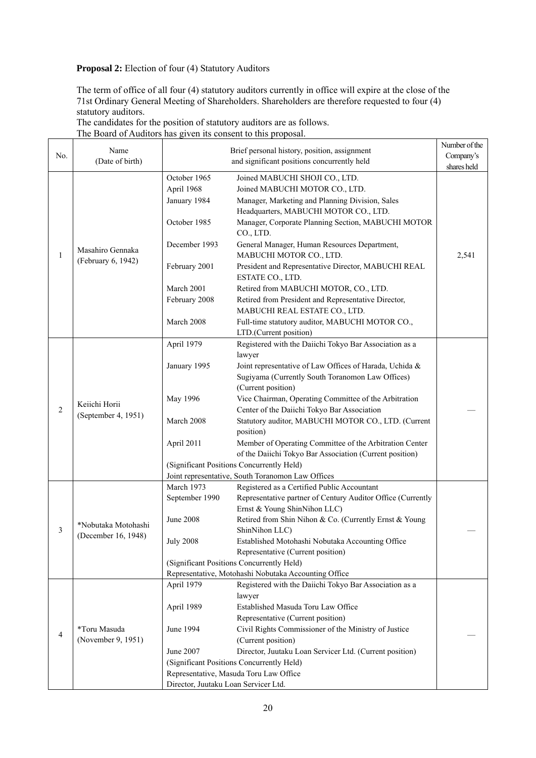## **Proposal 2:** Election of four (4) Statutory Auditors

The term of office of all four (4) statutory auditors currently in office will expire at the close of the 71st Ordinary General Meeting of Shareholders. Shareholders are therefore requested to four (4) statutory auditors.

The candidates for the position of statutory auditors are as follows.

The Board of Auditors has given its consent to this proposal.

|              |                                      |                                      |                                                                                                            | Number of the |
|--------------|--------------------------------------|--------------------------------------|------------------------------------------------------------------------------------------------------------|---------------|
| No.          | Name<br>(Date of birth)              |                                      | Brief personal history, position, assignment                                                               | Company's     |
|              |                                      |                                      | and significant positions concurrently held                                                                | shares held   |
|              |                                      | October 1965                         | Joined MABUCHI SHOJI CO., LTD.                                                                             |               |
|              |                                      | April 1968                           | Joined MABUCHI MOTOR CO., LTD.                                                                             |               |
|              |                                      | January 1984                         | Manager, Marketing and Planning Division, Sales                                                            |               |
|              |                                      |                                      | Headquarters, MABUCHI MOTOR CO., LTD.                                                                      |               |
|              |                                      | October 1985                         | Manager, Corporate Planning Section, MABUCHI MOTOR                                                         |               |
|              |                                      |                                      | CO., LTD.                                                                                                  |               |
|              | Masahiro Gennaka                     | December 1993                        | General Manager, Human Resources Department,                                                               |               |
| $\mathbf{1}$ | (February 6, 1942)                   |                                      | MABUCHI MOTOR CO., LTD.                                                                                    | 2,541         |
|              |                                      | February 2001                        | President and Representative Director, MABUCHI REAL                                                        |               |
|              |                                      |                                      | ESTATE CO., LTD.                                                                                           |               |
|              |                                      | March 2001                           | Retired from MABUCHI MOTOR, CO., LTD.                                                                      |               |
|              |                                      | February 2008                        | Retired from President and Representative Director,<br>MABUCHI REAL ESTATE CO., LTD.                       |               |
|              |                                      | March 2008                           | Full-time statutory auditor, MABUCHI MOTOR CO.,                                                            |               |
|              |                                      |                                      | LTD.(Current position)                                                                                     |               |
|              |                                      | April 1979                           | Registered with the Daiichi Tokyo Bar Association as a                                                     |               |
|              |                                      |                                      | lawyer                                                                                                     |               |
|              |                                      | January 1995                         | Joint representative of Law Offices of Harada, Uchida &                                                    |               |
|              | Keiichi Horii<br>(September 4, 1951) |                                      | Sugiyama (Currently South Toranomon Law Offices)                                                           |               |
|              |                                      |                                      | (Current position)                                                                                         |               |
|              |                                      | May 1996                             | Vice Chairman, Operating Committee of the Arbitration                                                      |               |
| 2            |                                      |                                      | Center of the Daiichi Tokyo Bar Association                                                                |               |
|              |                                      | March 2008                           | Statutory auditor, MABUCHI MOTOR CO., LTD. (Current                                                        |               |
|              |                                      |                                      | position)                                                                                                  |               |
|              |                                      | April 2011                           | Member of Operating Committee of the Arbitration Center                                                    |               |
|              |                                      |                                      | of the Daiichi Tokyo Bar Association (Current position)                                                    |               |
|              |                                      |                                      | (Significant Positions Concurrently Held)                                                                  |               |
|              |                                      |                                      | Joint representative, South Toranomon Law Offices                                                          |               |
|              |                                      | March 1973<br>September 1990         | Registered as a Certified Public Accountant<br>Representative partner of Century Auditor Office (Currently |               |
|              |                                      |                                      | Ernst & Young ShinNihon LLC)                                                                               |               |
|              |                                      | June 2008                            | Retired from Shin Nihon & Co. (Currently Ernst & Young                                                     |               |
| 3            | *Nobutaka Motohashi                  |                                      | ShinNihon LLC)                                                                                             |               |
|              | (December 16, 1948)                  | <b>July 2008</b>                     | Established Motohashi Nobutaka Accounting Office                                                           |               |
|              |                                      |                                      | Representative (Current position)                                                                          |               |
|              |                                      |                                      | (Significant Positions Concurrently Held)                                                                  |               |
|              |                                      |                                      | Representative, Motohashi Nobutaka Accounting Office                                                       |               |
|              |                                      | April 1979                           | Registered with the Daiichi Tokyo Bar Association as a                                                     |               |
|              | *Toru Masuda                         |                                      | lawyer                                                                                                     |               |
|              |                                      | April 1989                           | Established Masuda Toru Law Office                                                                         |               |
|              |                                      |                                      | Representative (Current position)                                                                          |               |
| 4            |                                      | June 1994                            | Civil Rights Commissioner of the Ministry of Justice                                                       |               |
|              | (November 9, 1951)                   |                                      | (Current position)                                                                                         |               |
|              |                                      | June 2007                            | Director, Juutaku Loan Servicer Ltd. (Current position)                                                    |               |
|              |                                      |                                      | (Significant Positions Concurrently Held)                                                                  |               |
|              |                                      | Director, Juutaku Loan Servicer Ltd. | Representative, Masuda Toru Law Office                                                                     |               |
|              |                                      |                                      |                                                                                                            |               |